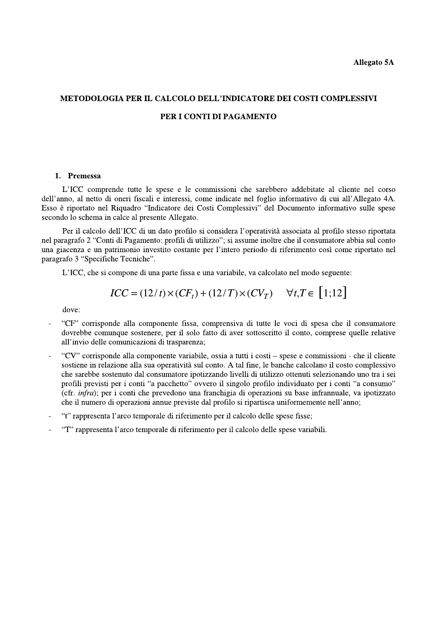$\overline{a}$ 

# METODOLOGIA PER IL CALCOLO DELL'INDICATORE DEI COSTI COMPLESSIVI

# PER I CONTI DI PAGAMENTO

## 1. Premessa

L'ICC comprende tutte le spese e le commissioni che sarebbero addebitate al cliente nel corso dell'anno, al netto di oneri fiscali e interessi, come indicate nel foglio informativo di cui all'Allegato 4A. Esso è riportato nel Riquadro "Indicatore dei Costi Complessivi" del Documento informativo sulle spese secondo lo schema in calce al presente Allegato.

Per il calcolo dell'ICC di un dato profilo si considera l'operatività associata al profilo stesso riportata nel paragrafo 2 "Conti di Pagamento: profili di utilizzo"; si assume inoltre che il consumatore abbia sul conto una giacenza e un patrimonio investito costante per l'intero periodo di riferimento così come riportato nel paragrafo 3 "Specifiche Tecniche".

L'ICC, che si compone di una parte fissa e una variabile, va calcolato nel modo seguente:

$$
ICC = (12/t) \times (CF_t) + (12/T) \times (CV_T) \quad \forall t, T \in [1; 12]
$$

dove:

- "CF" corrisponde alla componente fissa, comprensiva di tutte le voci di spesa che il consumatore dovrebbe comunque sostenere, per il solo fatto di aver sottoscritto il conto, comprese quelle relative all'invio delle comunicazioni di trasparenza;
- "CV" corrisponde alla componente variabile, ossia a tutti i costi spese e commissioni che il cliente sostiene in relazione alla sua operatività sul conto. A tal fine, le banche calcolano il costo complessivo che sarebbe sostenuto dal consumatore ipotizzando livelli di utilizzo ottenuti selezionando uno tra i sei profili previsti per i conti "a pacchetto" ovvero il singolo profilo individuato per i conti "a consumo" (cfr. *infra*); per i conti che prevedono una franchigia di operazioni su base infrannuale, va ipotizzato che il numero di operazioni annue previste dal profilo si ripartisca uniformemente nell'anno:
- "t" rappresenta l'arco temporale di riferimento per il calcolo delle spese fisse;
- "T" rappresenta l'arco temporale di riferimento per il calcolo delle spese variabili.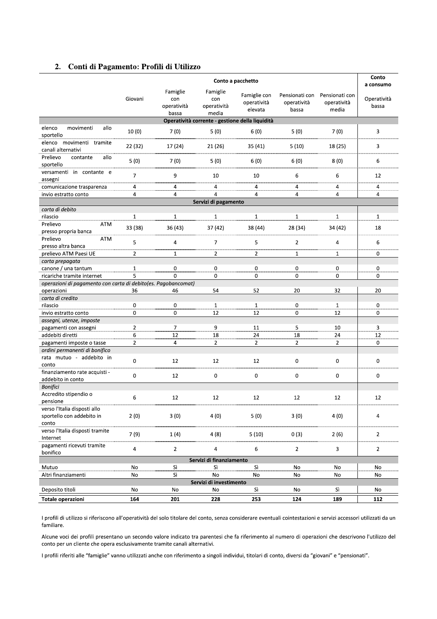# 2. Conti di Pagamento: Profili di Utilizzo

| a consumo<br>Famiglie<br>Famiglie<br>Famiglie con<br>Pensionati con<br>Pensionati con<br>Giovani<br>con<br>con<br>Operatività<br>operatività<br>operatività<br>operatività<br>operatività<br>operatività<br>bassa<br>elevata<br>bassa<br>media<br>media<br>bassa<br>Operatività corrente - gestione della liquidità | 5(0)<br>7(0)<br>5(10)<br>18 (25)<br>6(0)<br>8(0) |  |      |      |       |                             |  |  |  |  |  |  |
|---------------------------------------------------------------------------------------------------------------------------------------------------------------------------------------------------------------------------------------------------------------------------------------------------------------------|--------------------------------------------------|--|------|------|-------|-----------------------------|--|--|--|--|--|--|
|                                                                                                                                                                                                                                                                                                                     |                                                  |  |      |      |       |                             |  |  |  |  |  |  |
|                                                                                                                                                                                                                                                                                                                     |                                                  |  |      |      |       |                             |  |  |  |  |  |  |
| 6(0)<br>3<br>sportello                                                                                                                                                                                                                                                                                              |                                                  |  | 5(0) | 7(0) | 10(0) | elenco<br>allo<br>movimenti |  |  |  |  |  |  |
| elenco movimenti tramite<br>3<br>22 (32)<br>17 (24)<br>21 (26)<br>35(41)<br>canali alternativi                                                                                                                                                                                                                      |                                                  |  |      |      |       |                             |  |  |  |  |  |  |
| Prelievo<br>allo<br>contante<br>5(0)<br>7(0)<br>5(0)<br>6 (0)<br>6<br>sportello                                                                                                                                                                                                                                     |                                                  |  |      |      |       |                             |  |  |  |  |  |  |
| versamenti in contante e<br>$\overline{7}$<br>9<br>10<br>10<br>6<br>6<br>12<br>assegni                                                                                                                                                                                                                              |                                                  |  |      |      |       |                             |  |  |  |  |  |  |
| 4<br>4<br>4<br>comunicazione trasparenza<br>4<br>4<br>4<br>4                                                                                                                                                                                                                                                        |                                                  |  |      |      |       |                             |  |  |  |  |  |  |
| 4<br>4<br>4<br>4<br>4<br>4<br>invio estratto conto<br>4                                                                                                                                                                                                                                                             |                                                  |  |      |      |       |                             |  |  |  |  |  |  |
| Servizi di pagamento                                                                                                                                                                                                                                                                                                |                                                  |  |      |      |       |                             |  |  |  |  |  |  |
| carta di debito                                                                                                                                                                                                                                                                                                     |                                                  |  |      |      |       |                             |  |  |  |  |  |  |
| $\mathbf{1}$<br>$\mathbf{1}$<br>$\mathbf{1}$<br>$\mathbf{1}$<br>rilascio<br>$\mathbf{1}$<br>$\mathbf{1}$<br>$\mathbf{1}$                                                                                                                                                                                            |                                                  |  |      |      |       |                             |  |  |  |  |  |  |
| Prelievo<br>ATM                                                                                                                                                                                                                                                                                                     |                                                  |  |      |      |       |                             |  |  |  |  |  |  |
| 33 (38)<br>36 (43)<br>37 (42)<br>38 (44)<br>18<br>28 (34)<br>34 (42)<br>presso propria banca                                                                                                                                                                                                                        |                                                  |  |      |      |       |                             |  |  |  |  |  |  |
| Prelievo<br>ATM                                                                                                                                                                                                                                                                                                     |                                                  |  |      |      |       |                             |  |  |  |  |  |  |
| 5<br>$\overline{7}$<br>4<br>5<br>$\overline{2}$<br>6<br>4<br>presso altra banca                                                                                                                                                                                                                                     |                                                  |  |      |      |       |                             |  |  |  |  |  |  |
| prelievo ATM Paesi UE<br>$\overline{2}$<br>$\overline{2}$<br>1<br>$\mathbf{2}$<br>1<br>$\mathbf{1}$<br>0                                                                                                                                                                                                            |                                                  |  |      |      |       |                             |  |  |  |  |  |  |
| carta prepagata                                                                                                                                                                                                                                                                                                     |                                                  |  |      |      |       |                             |  |  |  |  |  |  |
| canone / una tantum<br>0<br>0<br>0<br>$\mathbf 0$<br>$\mathbf 0$<br>0<br>$\overline{1}$                                                                                                                                                                                                                             |                                                  |  |      |      |       |                             |  |  |  |  |  |  |
| ricariche tramite internet<br>5.<br>0<br>0<br>0<br>0<br>0<br>0                                                                                                                                                                                                                                                      |                                                  |  |      |      |       |                             |  |  |  |  |  |  |
| operazioni di pagamento con carta di debito(es. Pagobancomat)                                                                                                                                                                                                                                                       |                                                  |  |      |      |       |                             |  |  |  |  |  |  |
| 36<br>54<br>52<br>20<br>32<br>operazioni<br>46<br>20                                                                                                                                                                                                                                                                |                                                  |  |      |      |       |                             |  |  |  |  |  |  |
| carta di credito                                                                                                                                                                                                                                                                                                    |                                                  |  |      |      |       |                             |  |  |  |  |  |  |
| 0<br>0<br>$\mathbf{1}$<br>$\mathbf 0$<br>0<br>$\mathbf{1}$<br>$\mathbf{1}$<br>rilascio                                                                                                                                                                                                                              |                                                  |  |      |      |       |                             |  |  |  |  |  |  |
| 0<br>0<br>0<br>12<br>12<br>12<br>0<br>invio estratto conto                                                                                                                                                                                                                                                          |                                                  |  |      |      |       |                             |  |  |  |  |  |  |
| assegni, utenze, imposte                                                                                                                                                                                                                                                                                            |                                                  |  |      |      |       |                             |  |  |  |  |  |  |
| $\overline{2}$<br>$\overline{7}$<br>9<br>5<br>10<br>3<br>pagamenti con assegni<br>11                                                                                                                                                                                                                                |                                                  |  |      |      |       |                             |  |  |  |  |  |  |
| 24<br>24<br>addebiti diretti<br>12<br>18<br>18<br>12<br>6                                                                                                                                                                                                                                                           |                                                  |  |      |      |       |                             |  |  |  |  |  |  |
|                                                                                                                                                                                                                                                                                                                     |                                                  |  |      |      |       |                             |  |  |  |  |  |  |
| $\overline{4}$<br>$\overline{2}$<br>$\overline{2}$<br>0<br>$\overline{2}$<br>$\overline{2}$<br>$\overline{2}$<br>pagamenti imposte o tasse                                                                                                                                                                          |                                                  |  |      |      |       |                             |  |  |  |  |  |  |
| ordini permanenti di bonifico                                                                                                                                                                                                                                                                                       |                                                  |  |      |      |       |                             |  |  |  |  |  |  |
| rata mutuo - addebito in<br>0<br>12<br>12<br>12<br>$\mathbf 0$<br>0<br>0<br>conto                                                                                                                                                                                                                                   |                                                  |  |      |      |       |                             |  |  |  |  |  |  |
| finanziamento rate acquisti -<br>0<br>12<br>0<br>0<br>0<br>$\mathbf 0$<br>0<br>addebito in conto                                                                                                                                                                                                                    |                                                  |  |      |      |       |                             |  |  |  |  |  |  |
| <b>Bonifici</b>                                                                                                                                                                                                                                                                                                     |                                                  |  |      |      |       |                             |  |  |  |  |  |  |
| Accredito stipendio o<br>12<br>6<br>12<br>12<br>12<br>12<br>12                                                                                                                                                                                                                                                      |                                                  |  |      |      |       |                             |  |  |  |  |  |  |
| pensione                                                                                                                                                                                                                                                                                                            |                                                  |  |      |      |       |                             |  |  |  |  |  |  |
| verso l'Italia disposti allo<br>sportello con addebito in<br>2(0)<br>3(0)<br>4(0)<br>5(0)<br>3(0)<br>4(0)<br>4<br>conto                                                                                                                                                                                             |                                                  |  |      |      |       |                             |  |  |  |  |  |  |
| verso l'Italia disposti tramite<br>7(9)<br>1(4)<br>4(8)<br>5(10)<br>0(3)<br>2(6)<br>$\overline{2}$<br>Internet                                                                                                                                                                                                      |                                                  |  |      |      |       |                             |  |  |  |  |  |  |
| pagamenti ricevuti tramite<br>4<br>$\overline{2}$<br>4<br>6<br>$\overline{2}$<br>3<br>$\overline{2}$<br>bonifico                                                                                                                                                                                                    |                                                  |  |      |      |       |                             |  |  |  |  |  |  |
| Servizi di finanziamento                                                                                                                                                                                                                                                                                            |                                                  |  |      |      |       |                             |  |  |  |  |  |  |
| Mutuo<br>No<br>Sì<br>Sì<br>No<br>No<br>Sì<br>No                                                                                                                                                                                                                                                                     |                                                  |  |      |      |       |                             |  |  |  |  |  |  |
| Altri finanziamenti<br>Sì<br>No<br>No<br>No<br>No<br>No<br>No                                                                                                                                                                                                                                                       |                                                  |  |      |      |       |                             |  |  |  |  |  |  |
| Servizi di investimento                                                                                                                                                                                                                                                                                             |                                                  |  |      |      |       |                             |  |  |  |  |  |  |
| Deposito titoli<br>No<br>No<br>Sì<br>No<br>Sì<br>No<br>No                                                                                                                                                                                                                                                           |                                                  |  |      |      |       |                             |  |  |  |  |  |  |
| 164<br>228<br>253<br>124<br>189<br>112<br>Totale operazioni<br>201                                                                                                                                                                                                                                                  |                                                  |  |      |      |       |                             |  |  |  |  |  |  |

I profili di utilizzo si riferiscono all'operatività del solo titolare del conto, senza considerare eventuali cointestazioni e servizi accessori utilizzati da un familiare.

Alcune voci dei profili presentano un secondo valore indicato tra parentesi che fa riferimento al numero di operazioni che descrivono l'utilizzo del conto per un cliente che opera esclusivamente tramite canali alternativi.

I profili riferiti alle "famiglie" vanno utilizzati anche con riferimento a singoli individui, titolari di conto, diversi da "giovani" e "pensionati".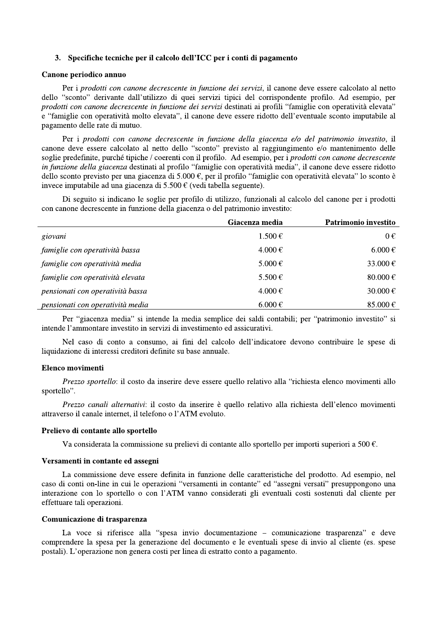# 3. Specifiche tecniche per il calcolo dell'ICC per i conti di pagamento

#### Canone periodico annuo

Per i prodotti con canone decrescente in funzione dei servizi, il canone deve essere calcolato al netto dello "sconto" derivante dall'utilizzo di quei servizi tipici del corrispondente profilo. Ad esempio, per prodotti con canone decrescente in funzione dei servizi destinati ai profili "famiglie con operatività elevata" e "famiglie con operatività molto elevata", il canone deve essere ridotto dell'eventuale sconto imputabile al pagamento delle rate di mutuo.

Per i prodotti con canone decrescente in funzione della giacenza e/o del patrimonio investito, il canone deve essere calcolato al netto dello "sconto" previsto al raggiungimento e/o mantenimento delle soglie predefinite, purché tipiche / coerenti con il profilo. Ad esempio, per i *prodotti con canone decrescente* in funzione della giacenza destinati al profilo "famiglie con operatività media", il canone deve essere ridotto dello sconto previsto per una giacenza di 5.000 €, per il profilo "famiglie con operatività elevata" lo sconto è invece imputabile ad una giacenza di 5.500 € (vedi tabella seguente).

Di seguito si indicano le soglie per profilo di utilizzo, funzionali al calcolo del canone per i prodotti con canone decrescente in funzione della giacenza o del patrimonio investito:

|                                  | Giacenza media | Patrimonio investito |
|----------------------------------|----------------|----------------------|
| giovani                          | $1.500 \in$    | $0 \in$              |
| famiglie con operatività bassa   | $4.000 \in$    | $6.000 \in$          |
| famiglie con operatività media   | $5.000 \in$    | 33.000 €             |
| famiglie con operatività elevata | 5.500€         | 80.000 $\in$         |
| pensionati con operatività bassa | $4.000 \in$    | 30.000 €             |
| pensionati con operatività media | $6.000 \in$    | 85.000 €             |

Per "giacenza media" si intende la media semplice dei saldi contabili; per "patrimonio investito" si intende l'ammontare investito in servizi di investimento ed assicurativi.

Nel caso di conto a consumo, ai fini del calcolo dell'indicatore devono contribuire le spese di liquidazione di interessi creditori definite su base annuale.

# Elenco movimenti

Prezzo sportello: il costo da inserire deve essere quello relativo alla "richiesta elenco movimenti allo sportello".

Prezzo canali alternativi: il costo da inserire è quello relativo alla richiesta dell'elenco movimenti attraverso il canale internet, il telefono o l'ATM evoluto.

# Prelievo di contante allo sportello

Va considerata la commissione su prelievi di contante allo sportello per importi superiori a 500  $\epsilon$ .

#### Versamenti in contante ed assegni

La commissione deve essere definita in funzione delle caratteristiche del prodotto. Ad esempio, nel caso di conti on-line in cui le operazioni "versamenti in contante" ed "assegni versati" presuppongono una interazione con lo sportello o con l'ATM vanno considerati gli eventuali costi sostenuti dal cliente per effettuare tali operazioni.

### Comunicazione di trasparenza

La voce si riferisce alla "spesa invio documentazione – comunicazione trasparenza" e deve comprendere la spesa per la generazione del documento e le eventuali spese di invio al cliente (es. spese postali). L'operazione non genera costi per linea di estratto conto a pagamento.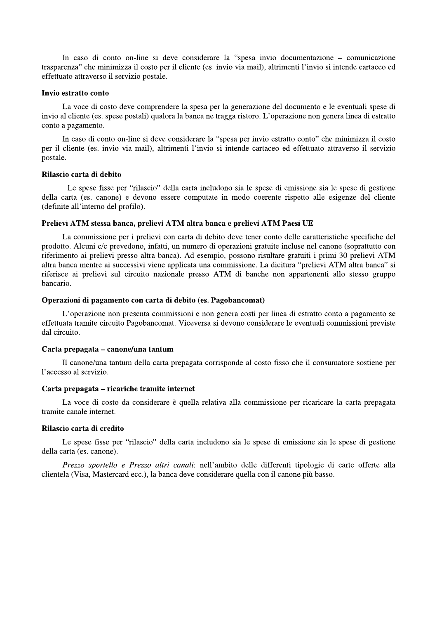In caso di conto on-line si deve considerare la "spesa invio documentazione – comunicazione trasparenza" che minimizza il costo per il cliente (es. invio via mail), altrimenti l'invio si intende cartaceo ed effettuato attraverso il servizio postale.

## Invio estratto conto

La voce di costo deve comprendere la spesa per la generazione del documento e le eventuali spese di invio al cliente (es. spese postali) qualora la banca ne tragga ristoro. L'operazione non genera linea di estratto conto a pagamento.

In caso di conto on-line si deve considerare la "spesa per invio estratto conto" che minimizza il costo per il cliente (es. invio via mail), altrimenti l'invio si intende cartaceo ed effettuato attraverso il servizio postale.

## Rilascio carta di debito

Le spese fisse per "rilascio" della carta includono sia le spese di emissione sia le spese di gestione della carta (es. canone) e devono essere computate in modo coerente rispetto alle esigenze del cliente (definite all'interno del profilo).

## Prelievi ATM stessa banca, prelievi ATM altra banca e prelievi ATM Paesi UE

La commissione per i prelievi con carta di debito deve tener conto delle caratteristiche specifiche del prodotto. Alcuni c/c prevedono, infatti, un numero di operazioni gratuite incluse nel canone (soprattutto con riferimento ai prelievi presso altra banca). Ad esempio, possono risultare gratuiti i primi 30 prelievi ATM altra banca mentre ai successivi viene applicata una commissione. La dicitura "prelievi ATM altra banca" si riferisce ai prelievi sul circuito nazionale presso ATM di banche non appartenenti allo stesso gruppo bancario.

## Operazioni di pagamento con carta di debito (es. Pagobancomat)

L'operazione non presenta commissioni e non genera costi per linea di estratto conto a pagamento se effettuata tramite circuito Pagobancomat. Viceversa si devono considerare le eventuali commissioni previste dal circuito.

#### Carta prepagata – canone/una tantum

Il canone/una tantum della carta prepagata corrisponde al costo fisso che il consumatore sostiene per l'accesso al servizio.

# Carta prepagata – ricariche tramite internet

La voce di costo da considerare è quella relativa alla commissione per ricaricare la carta prepagata tramite canale internet.

#### Rilascio carta di credito

Le spese fisse per "rilascio" della carta includono sia le spese di emissione sia le spese di gestione della carta (es. canone).

Prezzo sportello e Prezzo altri canali: nell'ambito delle differenti tipologie di carte offerte alla clientela (Visa, Mastercard ecc.), la banca deve considerare quella con il canone più basso.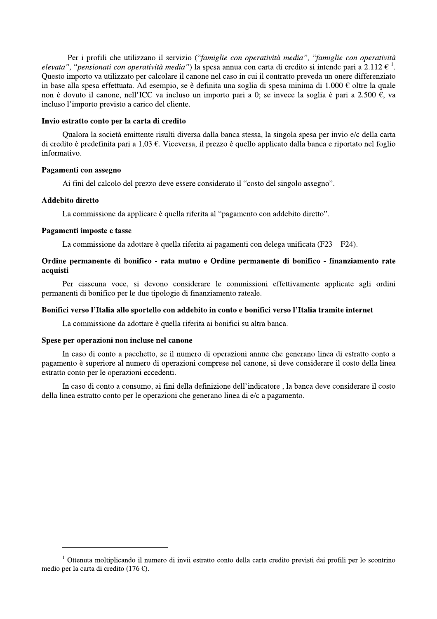Per i profili che utilizzano il servizio ("famiglie con operatività media", "famiglie con operatività Per i profili che utilizzano il servizio ("*famigelevata"*, "*pensionati con operatività media"*) la spess<br>Questo importo va utilizzato per calcolare il canone ne<br>in base alla spesa effettuata. Ad esempio, se è definit<br>n sa annua con carta di credito si intende pari a 2.112  $\epsilon^1$ . Ouesto importo va utilizzato per calcolare il canone nel caso in cui il contratto preveda un onere differenziato in base alla spesa effettuata. Ad esempio, se è definita una soglia di spesa minima di 1.000 € oltre la quale non è dovuto il canone, nell'ICC va incluso un importo pari a 0; se invece la soglia è pari a 2.500  $\epsilon$ , va incluso l'importo previsto a carico del cliente.

#### Invio estratto conto per la carta di credito

Oualora la società emittente risulti diversa dalla banca stessa, la singola spesa per invio e/c della carta di credito è predefinita pari a 1.03  $\epsilon$ . Viceversa, il prezzo è quello applicato dalla banca e riportato nel foglio informativo.

## Pagamenti con assegno

Ai fini del calcolo del prezzo deve essere considerato il "costo del singolo assegno".

## Addebito diretto

La commissione da applicare è quella riferita al "pagamento con addebito diretto".

#### Pagamenti imposte e tasse

La commissione da adottare è quella riferita ai pagamenti con delega unificata (F23 – F24).

# Ordine permanente di bonifico - rata mutuo e Ordine permanente di bonifico - finanziamento rate acquisti

r ciascuna voce, si devono considerare le commissioni effettivamente applicate agli ordini permanenti di bonifico per le due tipologie di finanziamento rateale.

# Bonifici verso l'Italia allo sportello con addebito in conto e bonifici verso l'Italia tramite internet

La commissione da adottare è quella riferita ai bonifici su altra banca.

#### Spese per operazioni non incluse nel canone

<u> 1989 - Johann Barn, amerikansk politiker (</u>

In caso di conto a pacchetto, se il numero di operazioni annue che generano linea di estratto conto a pagamento è superiore al numero di operazioni comprese nel canone, si deve considerare il costo della linea nese extratto conto per le operazioni eccedenti.

In caso di conto a consumo, ai fini della definizione dell'indicatore, la banca deve considerare il costo della linea estratto conto per le operazioni che generano linea di e/c a pagamento.

<sup>&</sup>lt;sup>1</sup> Ottenuta moltiplicando il numero di invii estratto conto della carta credito previsti dai profili per lo scontrino medio per la carta di credito (176 €).